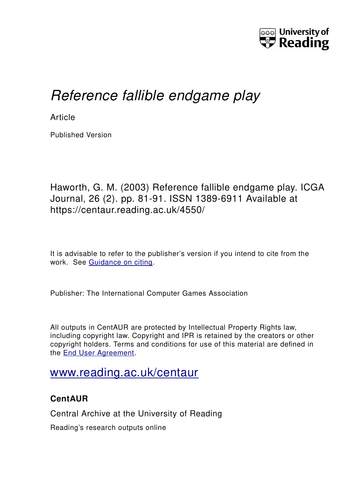

# *Reference fallible endgame play*

**Article** 

Published Version

Haworth, G. M. (2003) Reference fallible endgame play. ICGA Journal, 26 (2). pp. 81-91. ISSN 1389-6911 Available at https://centaur.reading.ac.uk/4550/

It is advisable to refer to the publisher's version if you intend to cite from the work. See [Guidance on citing.](http://centaur.reading.ac.uk/71187/10/CentAUR%20citing%20guide.pdf)

Publisher: The International Computer Games Association

All outputs in CentAUR are protected by Intellectual Property Rights law, including copyright law. Copyright and IPR is retained by the creators or other copyright holders. Terms and conditions for use of this material are defined in the [End User Agreement.](http://centaur.reading.ac.uk/licence)

## [www.reading.ac.uk/centaur](http://www.reading.ac.uk/centaur)

## **CentAUR**

Central Archive at the University of Reading

Reading's research outputs online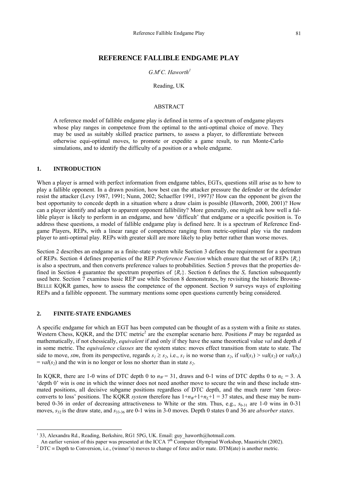## **REFERENCE FALLIBLE ENDGAME PLAY**

## *G.Mc C. Haworth[1](#page-1-0)*

#### Reading, UK

## ABSTRACT

A reference model of fallible endgame play is defined in terms of a spectrum of endgame players whose play ranges in competence from the optimal to the anti-optimal choice of move. They may be used as suitably skilled practice partners, to assess a player, to differentiate between otherwise equi-optimal moves, to promote or expedite a game result, to run Monte-Carlo simulations, and to identify the difficulty of a position or a whole endgame.

## **1. INTRODUCTION**

When a player is armed with perfect information from endgame tables, EGTs, questions still arise as to how to play a fallible opponent. In a drawn position, how best can the attacker pressure the defender or the defender resist the attacker (Levy 1987, 1991; Nunn, 2002; Schaeffer 1991, 1997)? How can the opponent be given the best opportunity to concede depth in a situation where a draw claim is possible (Haworth, 2000, 2001)? How can a player identify and adapt to apparent opponent fallibility? More generally, one might ask how well a fallible player is likely to perform in an endgame, and how 'difficult' that endgame or a specific position is. To address these questions, a model of fallible endgame play is defined here. It is a spectrum of Reference Endgame Players, REPs, with a linear range of competence ranging from metric-optimal play via the random player to anti-optimal play. REPs with greater skill are more likely to play better rather than worse moves.

Section 2 describes an endgame as a finite-state system while Section 3 defines the requirement for a spectrum of REPs. Section 4 defines properties of the REP *Preference Function* which ensure that the set of REPs {*Rc*} is also a spectrum, and then converts preference values to probabilities. Section 5 proves that the properties defined in Section 4 guarantee the spectrum properties of  ${R<sub>c</sub>}$ . Section 6 defines the  $S<sub>c</sub>$  function subsequently used here. Section 7 examines basic REP use while Section 8 demonstrates, by revisiting the historic Browne-BELLE KQKR games, how to assess the competence of the opponent. Section 9 surveys ways of exploiting REPs and a fallible opponent. The summary mentions some open questions currently being considered.

## **2. FINITE-STATE ENDGAMES**

 $\overline{a}$ 

A specific endgame for which an EGT has been computed can be thought of as a system with a finite *ns* states. Western Chess, KQKR, and the DTC metric<sup>[2](#page-1-1)</sup> are the exemplar scenario here. Positions P may be regarded as mathematically, if not chessically, *equivalent* if and only if they have the same theoretical value *val* and depth *d* in some metric. The *equivalence classes* are the system states: moves effect transition from state to state. The side to move, *stm*, from its perspective, regards  $s_1 \ge s_2$ , i.e.,  $s_1$  is no worse than  $s_2$ , if  $val(s_1) > val(s_2)$  or  $val(s_1)$  $= val(s<sub>2</sub>)$  and the win is no longer or loss no shorter than in state  $s<sub>2</sub>$ .

In KQKR, there are 1-0 wins of DTC depth 0 to  $n_W = 31$ , draws and 0-1 wins of DTC depths 0 to  $n_L = 3$ . A 'depth 0' win is one in which the winner does not need another move to secure the win and these include stmmated positions, all decisive subgame positions regardless of DTC depth, and the much rarer 'stm forceconverts to loss' positions. The KQKR *system* therefore has  $1+n<sub>W</sub>+1+n<sub>L</sub>+1 = 37$  states, and these may be numbered 0-36 in order of decreasing attractiveness to White or the stm. Thus, e.g.,  $s_{0.31}$  are 1-0 wins in 0-31 moves,  $s_{32}$  is the draw state, and  $s_{33-36}$  are 0-1 wins in 3-0 moves. Depth 0 states 0 and 36 are *absorber states*.

<span id="page-1-0"></span><sup>&</sup>lt;sup>1</sup> 33, Alexandra Rd., Reading, Berkshire, RG1 5PG, UK. Email: guy haworth@hotmail.com.

An earlier version of this paper was presented at the ICCA  $7<sup>th</sup>$  Computer Olympiad Workshop, Maastricht (2002).

<span id="page-1-1"></span><sup>&</sup>lt;sup>2</sup> DTC = Depth to Conversion, i.e., (winner's) moves to change of force and/or mate. DTM(ate) is another metric.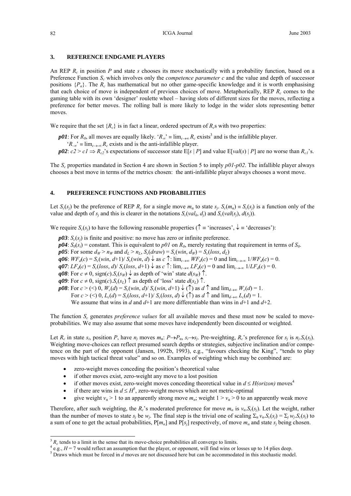### **3. REFERENCE ENDGAME PLAYERS**

An REP *Rc* in position *P* and state *s* chooses its move stochastically with a probability function, based on a Preference Function *S<sub>c</sub>* which involves only the *competence parameter c* and the value and depth of successor positions  $\{P_{\alpha}\}\$ . The  $R_c$  has mathematical but no other game-specific knowledge and it is worth emphasising that each choice of move is independent of previous choices of move. Metaphorically, REP *Rc* comes to the gaming table with its own 'designer' roulette wheel – having slots of different sizes for the moves, reflecting a preference for better moves. The rolling ball is more likely to lodge in the wider slots representing better moves.

We require that the set  ${R_c}$  is in fact a linear, ordered spectrum of  $R_c$ s with two properties:

*p01*: For  $R_0$ , all moves are equally likely. ' $R_\infty$ ' = lim<sub>c→∞</sub>  $R_c$  exists<sup>[3](#page-2-0)</sup> and is the infallible player.

' $R_{\infty}$ <sup>'</sup> ≡ lim<sub>*c*→-∞</sub>  $R_c$  exists and is the anti-infallible player.

*p02*:  $c2 > c1 \Rightarrow R_{c2}$ 's expectations of successor state E[*s* | *P*] and value E[*val*(*s*) | *P*] are no worse than  $R_{c1}$ 's.

The *Sc* properties mandated in Section 4 are shown in Section 5 to imply *p01-p02*. The infallible player always chooses a best move in terms of the metrics chosen: the anti-infallible player always chooses a worst move.

## **4. PREFERENCE FUNCTIONS AND PROBABILITIES**

Let  $S_c(s_i)$  be the preference of REP  $R_c$  for a single move  $m_a$  to state  $s_i$ .  $S_c(m_a) = S_c(s_i)$  is a function only of the value and depth of  $s_j$  and this is clearer in the notations  $S_c(val_k, d_j)$  and  $S_c(val(s_j), d(s_j))$ .

We require  $S_c(s_i)$  to have the following reasonable properties ( $\uparrow$  = 'increases',  $\downarrow$  = 'decreases'):

 $p03$ :  $S_c(s_i)$  is finite and positive: no move has zero or infinite preference.

 $p04$ :  $S_0(s_i)$  = constant. This is equivalent to  $p01$  on  $R_0$ , merely restating that requirement in terms of  $S_0$ .

*p05*: For some  $d_W > n_W$  and  $d_L > n_L$ ,  $S_c(draw) = S_c(win, d_W) = S_c(logs, d_L)$ 

*q06*:  $WF_d(c) = S_c(\text{win}, d+1)/S_c(\text{win}, d)$  ↓ as *c* ↑:  $\lim_{c \to \infty} WF_d(c) = 0$  and  $\lim_{c \to \infty} 1/WF_d(c) = 0$ .

 $q\theta$ 7:  $LF_d(c) = S_c(\text{loss}, d) / S_c(\text{loss}, d+1) \downarrow$  as  $c \uparrow$ :  $\lim_{c \to \infty} LF_d(c) = 0$  and  $\lim_{c \to \infty} 1 / LF_d(c) = 0$ .

 $q08$ : For  $c \neq 0$ , sign(*c*). $S_c(s_W)$   $\downarrow$  as depth of 'win' state  $d(s_W)$   $\uparrow$ .

 $q09$ : For  $c \neq 0$ , sign(*c*).*S<sub>c</sub>*(*s<sub>L</sub>*)</sub>  $\uparrow$  as depth of 'loss' state  $d(s_L)$   $\uparrow$ .

*p08*: For  $c > \langle 0, W_c(d) = S_c(\text{win}, d) / S_c(\text{win}, d+1) \downarrow$  (†) as  $d \uparrow$  and  $\lim_{d \to \infty} W_c(d) = 1$ .

For  $c > \langle \leq \rangle$  0,  $L_c(d) = S_c(\text{loss}, d+1)/S_c(\text{loss}, d) \downarrow$  ( $\uparrow$ ) as  $d \uparrow$  and  $\lim_{d \to \infty} L_c(d) = 1$ .

We assume that wins in *d* and  $d+1$  are more differentiable than wins in  $d+1$  and  $d+2$ .

The function *Sc* generates *preference values* for all available moves and these must now be scaled to moveprobabilities. We may also assume that some moves have independently been discounted or weighted.

Let  $R_c$  in state  $s_i$ , position  $P$ , have  $n_j$  moves  $m_a$ :  $P \rightarrow P_a$ ,  $s_i \rightarrow s_j$ . Pre-weighting,  $R_c$ 's preference for  $s_j$  is  $n_j.S_c(s_j)$ . Weighting move-choices can reflect presumed search depths or strategies, subjective inclination and/or competence on the part of the opponent (Jansen, 1992b, 1993), e.g., "favours checking the King", "tends to play moves with high tactical threat value" and so on. Examples of weighting which may be combined are:

- zero-weight moves conceding the position's theoretical value
- if other moves exist, zero-weight any move to a lost position
- if other moves exist, zero-weight moves conceding theoretical value in  $d \leq H(orizon)$  moves<sup>[4](#page-2-1)</sup>
- if there are wins in  $d \leq H^5$  $d \leq H^5$ , zero-weight moves which are not metric-optimal
- give weight  $v_\alpha > 1$  to an apparently strong move  $m_\alpha$ ; weight  $1 > v_\alpha > 0$  to an apparently weak move

Therefore, after such weighting, the  $R_c$ 's moderated preference for move  $m_a$  is  $v_a$ .*S<sub>c</sub>*(*s<sub>i</sub>*). Let the weight, rather than the number of moves to state  $s_j$  be  $w_j$ . The final step is the trivial one of scaling  $\Sigma_\alpha v_\alpha S_c(s_j) = \Sigma_j w_j S_c(s_j)$  to a sum of one to get the actual probabilities,  $P[m_\alpha]$  and  $P[s_i]$  respectively, of move  $m_\alpha$  and state  $s_i$  being chosen.

l

<span id="page-2-0"></span> $3 R_c$  tends to a limit in the sense that its move-choice probabilities all converge to limits.

<span id="page-2-1"></span> $e^{4}$  e.g.,  $H = 7$  would reflect an assumption that the player, or opponent, will find wins or losses up to 14 plies deep.

<span id="page-2-2"></span> $<sup>5</sup>$  Draws which must be forced in *d* moves are not discussed here but can be accommodated in this stochastic model.</sup>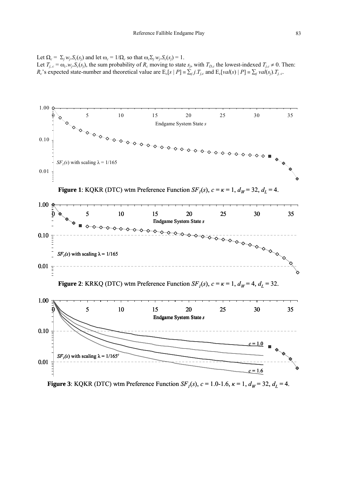Let  $\Omega_c = \Sigma_i w_i S_c(s_i)$  and let  $\omega_c = 1/\Omega_c$  so that  $\omega_c \Sigma_i w_i S_c(s_i) = 1$ . Let  $T_{j,c} = \omega_c w_j S_c(s_j)$ , the sum probability of  $R_c$  moving to state  $s_j$ , with  $T_{D,c}$  the lowest-indexed  $T_{j,c} \neq 0$ . Then:  $R_c$ 's expected state-number and theoretical value are  $E_c[s | P] = \sum_j j$ .  $T_{j,c}$  and  $E_c[val(s) | P] = \sum_j val(s_j)$ .  $T_{j,c}$ .



**Figure 3**: KQKR (DTC) wtm Preference Function *SF<sub>1</sub>*(*s*),  $c = 1.0-1.6$ ,  $\kappa = 1$ ,  $d_W = 32$ ,  $d_L = 4$ .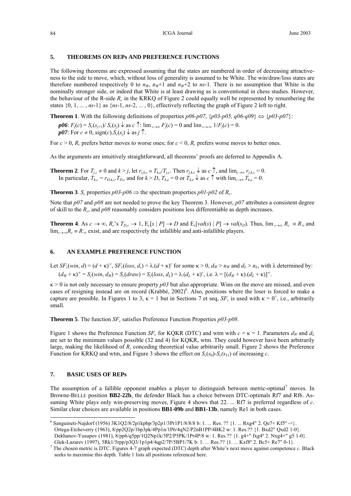## **5. THEOREMS ON REPs AND PREFERENCE FUNCTIONS**

The following theorems are expressed assuming that the states are numbered in order of decreasing attractiveness to the side to move, which, without loss of generality is assumed to be White. The win/draw/loss states are therefore numbered respectively 0 to  $n_W$ ,  $n_W+1$  and  $n_W+2$  to *ns*-1. There is no assumption that White is the nominally stronger side, or indeed that White is at least drawing as is conventional in chess studies. However, the behaviour of the R-side *Rc* in the KRKQ of Figure 2 could equally well be represented by renumbering the states  $\{0, 1, \ldots, n\}$  as  $\{n\cdot 1, n\cdot 2, \ldots, 0\}$ , effectively reflecting the graph of Figure 2 left to right.

**Theorem 1**. With the following definitions of properties  $p06-p07$ ,  $\{p03-p05, q06-q09\} \Leftrightarrow \{p03-p07\}$ :

*p06*:  $F_j(c) = S_c(s_{j+1})/S_c(s_j)$   $\downarrow$  as  $c \uparrow$ : lim<sub> $c \to \infty$ </sub>  $F_j(c) = 0$  and lim $_{c \to \infty} 1/F_j(c) = 0$ .  $p07$ : For  $c \neq 0$ , sign(*c*).  $S_c(s_i) \downarrow$  as  $j \uparrow$ .

For  $c > 0$ ,  $R_c$  prefers better moves to worse ones; for  $c < 0$ ,  $R_c$  prefers worse moves to better ones.

As the arguments are intuitively straightforward, all theorems' proofs are deferred to Appendix A.

**Theorem 2**. For  $T_{j,c} \neq 0$  and  $k > j$ , let  $r_{j,k,c} \equiv T_{k,c}/T_{j,c}$ . Then  $r_{j,k,c} \downarrow$  as  $c \uparrow$ , and  $\lim_{c \to \infty} r_{j,k,c} = 0$ . In particular,  $T_{k,c} = r_{D,k,c}$ . *T<sub>D,c</sub>* and for  $k > D$ ,  $T_{k,c} = 0$  or  $T_{k,c} \downarrow$  as  $c \uparrow$  with  $\lim_{c \to \infty} T_{k,c} = 0$ .

**Theorem 3**. *S<sub>c</sub>* properties  $p03-p06 \Rightarrow$  the spectrum properties  $p01-p02$  of  $R_c$ .

Note that *p07* and *p08* are not needed to prove the key Theorem 3. However, *p07* attributes a consistent degree of skill to the  $R_c$ , and  $p08$  reasonably considers positions less differentiable as depth increases.

**Theorem 4**. As  $c \to \infty$ ,  $R_c$ 's  $T_{D,c} \to 1$ ,  $E_c[s \mid P] \to D$  and  $E_c[val(s) \mid P] \to val(s_D)$ . Thus,  $\lim_{c \to \infty} R_c \equiv R_{\infty}$  and lim<sub>*c*→∞</sub> $R_c$  ≡  $R<sub>∞</sub>$  exist, and are respectively the infallible and anti-infallible players.

## **6. AN EXAMPLE PREFERENCE FUNCTION**

Let  $SF_c(\text{win}, d) = (d + \kappa)^c$ ,  $SF_c(\text{loss}, d) = \lambda (d + \kappa)^c$  for some  $\kappa > 0$ ,  $d_W > n_W$  and  $d_L > n_L$ , with  $\lambda$  determined by:  $(d_W + \kappa)^{-c} = S_c(\text{win}, d_W) = S_c(\text{draw}) = S_c(\text{loss}, d_L) = \lambda (d_L + \kappa)^{c}$ , i.e.  $\lambda = [(d_W + \kappa) (d_L + \kappa)]^{-c}$ .

 $\kappa$  > 0 is not only necessary to ensure property  $p03$  but also appropriate. Wins on the move are missed, and even cases of resigning instead are on record (Krabbé, 2002)<sup>6</sup>. Also, positions where the loser is forced to make a capture are possible. In Figures 1 to 3,  $\kappa = 1$  but in Sections 7 et seq,  $SF_c$  is used with  $\kappa = 0^+$ , i.e., arbitrarily small.

**Theorem 5**. The function  $SF_c$  satisfies Preference Function Properties  $p03-p08$ .

Figure 1 shows the Preference Function *SF<sub>c</sub>* for KQKR (DTC) and wtm with  $c = \kappa = 1$ . Parameters  $d_W$  and  $d_L$ are set to the minimum values possible (32 and 4) for KQKR, wtm. They could however have been arbitrarily large, making the likelihood of *Rc* conceding theoretical value arbitrarily small. Figure 2 shows the Preference Function for KRKQ and wtm, and Figure 3 shows the effect on  $S_c(s_0)$ - $S_c(s_3)$  of increasing *c*.

## **7. BASIC USES OF REPs**

l

The assumption of a fallible opponent enables a player to distinguish between metric-optimal<sup>7</sup> moves. In Browne-BELLE position **BB2-22b**, the defender Black has a choice between DTC-optimals Rf7 and Rf6. Assuming White plays only win-preserving moves, Figure 4 shows that 22. ... Rf7 is preferred regardless of *c*. Similar clear choices are available in positions **BB1-09b** and **BB1-13b**, namely Re1 in both cases.

<span id="page-4-0"></span><sup>&</sup>lt;sup>6</sup> Sanguineti-Najdorf (1956)  $3K1Q2/8/2p1kpbp/3p2p1/3Pr1P1/8/8/8$  b: 1. ... Res. ??  $\{1. \ldots Rxg4''\}$  2. Qe7+ Kf5° -+}. Ortega-Etcheverry (1963), 8/pp2Q2p/1bp3pk/4Pp1n/1P6/4qN2/P2nB1PP/4BK2 w: 1. Res.?? {1. Bxd2" Qxd2 1-0}. Dekhanov-Yusupov (1981), 8/pp6/q5pp/1Q2Np1k/5P2/P5PK/1Pr4P/8 w: 1. Res.?? {1. g4+" fxg4º 2. Nxg4+" g5 1-0}. Glek-Lazarev (1997), 5Rk1/5rpp/p3Q3/1p1p4/4qp2/7P/5BP1/7K b: 1. ... Res.?? {1. ... Kxf8° 2. Bc5+ Re7" 0-1}.

<span id="page-4-1"></span> $^7$  The chosen metric is DTC. Figures 4-7 graph expected (DTC) depth after White's next move against competence  $c$ . Black seeks to maximise this depth. Table 1 lists all positions referenced here.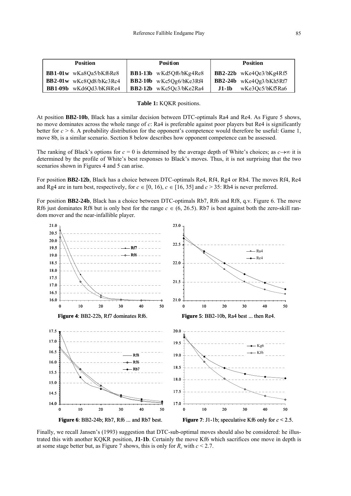| <b>Position</b>                | Position                           | <b>Position</b>           |
|--------------------------------|------------------------------------|---------------------------|
| <b>BB1-01w</b> wKa8Qa5/bKf6Re8 | <b>BB1-13b</b> wKd5Qf6/bKg4Re8     | $BB2-22b$ wKe4Qe3/bKg4Rf5 |
| BB2-01w wKc8Qd8/bKc3Rc4        | $\mathbf{BB2-10b}$ wKc5Qg6/bKe3Rf4 | $BB2-24b$ wKe4Og3/bKh5Rf7 |
| BB1-09b wKd6Qd3/bKf4Re4        | $\vert$ BB2-12b wKc5Qc3/bKe2Ra4    | wKe3Qc5/bKf5Ra6<br>J1-1b  |

#### **Table 1:** KQKR positions.

At position **BB2-10b**, Black has a similar decision between DTC-optimals Ra4 and Re4. As Figure 5 shows, no move dominates across the whole range of *c*: Ra4 is preferable against poor players but Re4 is significantly better for  $c > 6$ . A probability distribution for the opponent's competence would therefore be useful: Game 1, move 8b, is a similar scenario. Section 8 below describes how opponent competence can be assessed.

The ranking of Black's options for  $c = 0$  is determined by the average depth of White's choices; as  $c \rightarrow \infty$  it is determined by the profile of White's best responses to Black's moves. Thus, it is not surprising that the two scenarios shown in Figures 4 and 5 can arise.

For position **BB2-12b**, Black has a choice between DTC-optimals Re4, Rf4, Rg4 or Rh4. The moves Rf4, Re4 and Rg4 are in turn best, respectively, for  $c \in [0, 16)$ ,  $c \in [16, 35]$  and  $c > 35$ : Rh4 is never preferred.

For position **BB2-24b**, Black has a choice between DTC-optimals Rb7, Rf6 and Rf8, q.v. Figure 6. The move Rf6 just dominates Rf8 but is only best for the range  $c \in (6, 26.5)$ . Rb7 is best against both the zero-skill random mover and the near-infallible player.



Finally, we recall Jansen's (1993) suggestion that DTC-sub-optimal moves should also be considered: he illustrated this with another KQKR position, **J1-1b**. Certainly the move Kf6 which sacrifices one move in depth is at some stage better but, as Figure 7 shows, this is only for  $R_c$  with  $c \leq 2.7$ .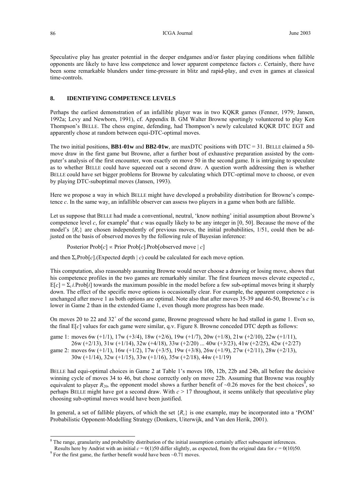Speculative play has greater potential in the deeper endgames and/or faster playing conditions when fallible opponents are likely to have less competence and lower apparent competence factors *c*. Certainly, there have been some remarkable blunders under time-pressure in blitz and rapid-play, and even in games at classical time-controls.

#### **8. IDENTIFYING COMPETENCE LEVELS**

Perhaps the earliest demonstration of an infallible player was in two KQKR games (Fenner, 1979; Jansen, 1992a; Levy and Newborn, 1991), cf. Appendix B. GM Walter Browne sportingly volunteered to play Ken Thompson's BELLE. The chess engine, defending, had Thompson's newly calculated KQKR DTC EGT and apparently chose at random between equi-DTC-optimal moves.

The two initial positions, **BB1-01w** and **BB2-01w**, are maxDTC positions with DTC = 31. BELLE claimed a 50 move draw in the first game but Browne, after a further bout of exhaustive preparation assisted by the computer's analysis of the first encounter, won exactly on move 50 in the second game. It is intriguing to speculate as to whether BELLE could have squeezed out a second draw. A question worth addressing then is whether BELLE could have set bigger problems for Browne by calculating which DTC-optimal move to choose, or even by playing DTC-suboptimal moves (Jansen, 1993).

Here we propose a way in which BELLE might have developed a probability distribution for Browne's competence *c*. In the same way, an infallible observer can assess two players in a game when both are fallible.

Let us suppose that BELLE had made a conventional, neutral, 'know nothing' initial assumption about Browne's competence level  $c$ , for example<sup>8</sup> that  $c$  was equally likely to be any integer in [0, 50]. Because the move of the model's  ${R<sub>c</sub>}$  are chosen independently of previous moves, the initial probabilities, 1/51, could then be adjusted on the basis of observed moves by the following rule of Bayesian inference:

Posterior Prob[*c*] ∝ Prior Prob[*c*].Prob[observed move | *c*]

and then  $\Sigma_c$ Prob[*c*].(Expected depth | *c*) could be calculated for each move option.

This computation, also reasonably assuming Browne would never choose a drawing or losing move, shows that his competence profiles in the two games are remarkably similar. The first fourteen moves elevate expected *c*,  $E[c] = \sum_{i} i$ .Prob[*i*] towards the maximum possible in the model before a few sub-optimal moves bring it sharply down. The effect of the specific move options is occasionally clear. For example, the apparent competence *c* is unchanged after move 1 as both options are optimal. Note also that after moves 35-39 and 46-50, Browne's *c* is lower in Game 2 than in the extended Game 1, even though more progress has been made.

On moves 20 to 22 and  $32<sup>+</sup>$  of the second game, Browne progressed where he had stalled in game 1. Even so, the final E[*c*] values for each game were similar, q.v. Figure 8. Browne conceded DTC depth as follows:

game 1: moves 6w (+1/1), 17w (+3/4), 18w (+2/6), 19w (+1/7), 20w (+1/8), 21w (+2/10), 22w (+1/11),

 26w (+2/13), 31w (+1/14), 32w (+4/18), 33w (+2/20) ... 40w (+3/23), 41w (+2/25), 42w (+2/27) game 2: moves 6w (+1/1),  $16w$  (+1/2),  $17w$  (+3/5),  $19w$  (+3/8),  $26w$  (+1/9),  $27w$  (+2/11),  $28w$  (+2/13), 30w (+1/14), 32w (+1/15), 33w (+1/16), 35w (+2/18), 44w (+1/19)

BELLE had equi-optimal choices in Game 2 at Table 1's moves 10b, 12b, 22b and 24b, all before the decisive winning cycle of moves 34 to 46, but chose correctly only on move 22b. Assuming that Browne was roughly equivalent to player  $R_{20}$ , the opponent model shows a further benefit of ~0.26 moves for the best choices, so perhaps BELLE might have got a second draw. With *c* > 17 throughout, it seems unlikely that speculative play choosing sub-optimal moves would have been justified.

In general, a set of fallible players, of which the set  $\{R_c\}$  is one example, may be incorporated into a 'PrOM' Probabilistic Opponent-Modelling Strategy (Donkers, Uiterwijk, and Van den Herik, 2001).

l

<span id="page-6-0"></span><sup>&</sup>lt;sup>8</sup> The range, granularity and probability distribution of the initial assumption certainly affect subsequent inferences.

<span id="page-6-1"></span>Results here by Andrist with an initial  $c = 0(1)50$  differ slightly, as expected, from the original data for  $c = 0(10)50$ .  $9$  For the first game, the further benefit would have been  $\sim$ 0.71 moves.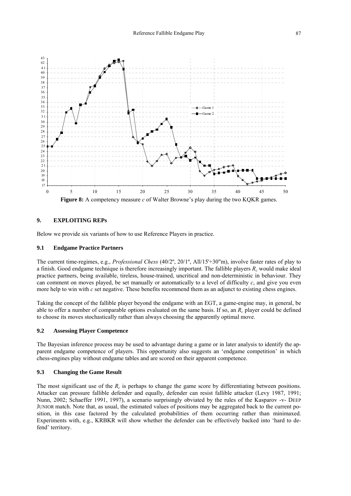

## **9. EXPLOITING REPs**

Below we provide six variants of how to use Reference Players in practice.

### **9.1 Endgame Practice Partners**

The current time-regimes, e.g., *Professional Chess* (40/2º, 20/1º, All/15'+30"m), involve faster rates of play to a finish. Good endgame technique is therefore increasingly important. The fallible players *Rc* would make ideal practice partners, being available, tireless, house-trained, uncritical and non-deterministic in behaviour. They can comment on moves played, be set manually or automatically to a level of difficulty  $c$ , and give you even more help to win with *c* set negative. These benefits recommend them as an adjunct to existing chess engines.

Taking the concept of the fallible player beyond the endgame with an EGT, a game-engine may, in general, be able to offer a number of comparable options evaluated on the same basis. If so, an *Rc* player could be defined to choose its moves stochastically rather than always choosing the apparently optimal move.

#### **9.2 Assessing Player Competence**

The Bayesian inference process may be used to advantage during a game or in later analysis to identify the apparent endgame competence of players. This opportunity also suggests an 'endgame competition' in which chess-engines play without endgame tables and are scored on their apparent competence.

#### **9.3 Changing the Game Result**

The most significant use of the  $R_c$  is perhaps to change the game score by differentiating between positions. Attacker can pressure fallible defender and equally, defender can resist fallible attacker (Levy 1987, 1991; Nunn, 2002; Schaeffer 1991, 1997), a scenario surprisingly obviated by the rules of the Kasparov -v- DEEP JUNIOR match. Note that, as usual, the estimated values of positions may be aggregated back to the current position, in this case factored by the calculated probabilities of them occurring rather than minimaxed. Experiments with, e.g., KRBKR will show whether the defender can be effectively backed into 'hard to defend' territory.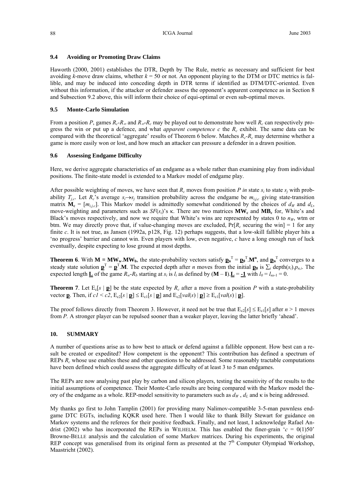## **9.4 Avoiding or Promoting Draw Claims**

Haworth (2000, 2001) establishes the DTR, Depth by The Rule, metric as necessary and sufficient for best avoiding *k*-move draw claims, whether  $k = 50$  or not. An opponent playing to the DTM or DTC metrics is fallible, and may be induced into conceding depth in DTR terms if identified as DTM/DTC-oriented. Even without this information, if the attacker or defender assess the opponent's apparent competence as in Section 8 and Subsection 9.2 above, this will inform their choice of equi-optimal or even sub-optimal moves.

## **9.5 Monte-Carlo Simulation**

From a position *P*, games  $R_c$ - $R_\infty$  and  $R_\infty$ - $R_c$  may be played out to demonstrate how well  $R_c$  can respectively progress the win or put up a defence, and what *apparent competence c* the *Rc* exhibit. The same data can be compared with the theoretical 'aggregate' results of Theorem 6 below. Matches *Rc-Rc* may determine whether a game is more easily won or lost, and how much an attacker can pressure a defender in a drawn position.

## **9.6 Assessing Endgame Difficulty**

Here, we derive aggregate characteristics of an endgame as a whole rather than examining play from individual positions. The finite-state model is extended to a Markov model of endgame play.

After possible weighting of moves, we have seen that  $R_c$  moves from position *P in* state  $s_i$  to state  $s_j$  with probability  $T_{i,c}$ . Let  $R_c$ 's average  $s_i \rightarrow s_j$  transition probability across the endgame be  $m_{i,i,c}$  giving state-transition matrix  $\mathbf{M}_c = [m_{i,c}]$ . This Markov model is admittedly somewhat conditioned by the choices of  $d_W$  and  $d_L$ move-weighting and parameters such as *SF*(*si*)'s κ. There are two matrices **MWc** and **MBc** for, White's and Black's moves respectively, and now we require that White's wins are represented by states 0 to  $n_W$ , wtm or btm. We may directly prove that, if value-changing moves are excluded,  $Pr[R_c$  securing the win] = 1 for any finite *c*. It is not true, as Jansen (1992a, p128, Fig. 12) perhaps suggests, that a low-skill fallible player hits a 'no progress' barrier and cannot win. Even players with low, even negative, *c* have a long enough run of luck eventually, despite expecting to lose ground at most depths.

**Theorem 6**. With  $M = MW_w.MW_b$ , the state-probability vectors satisfy  $\mathbf{p}_n^T = \mathbf{p}_0^T.M^n$ , and  $\mathbf{p}_n^T$  converges to a steady state solution  $\mathbf{p}^T = \mathbf{p}^T \mathbf{M}$ . The expected depth after *n* moves from the initial  $\mathbf{p}_0$  is  $\sum_i$  depth $(s_i)$ ,  $p_{n,i}$ . The expected length **L** of the game  $R_w$ - $R_b$  starting at  $s_i$  is  $l_i$  as defined by  $(M - I)$ .  $L = -1$  with  $l_0 = l_{ns-1} = 0$ .

**Theorem 7**. Let  $E_c[s | p]$  be the state expected by  $R_c$  after a move from a position P with a state-probability vector **p**. Then, if  $cI < c2$ ,  $E_{c2}[s | \mathbf{p}] \le E_{c1}[s | \mathbf{p}]$  and  $E_{c2}[val(s) | \mathbf{p}] \ge E_{c1}[val(s) | \mathbf{p}]$ .

The proof follows directly from Theorem 3. However, it need not be true that  $E_{c2}[s] \le E_{c1}[s]$  after  $n > 1$  moves from *P.* A stronger player can be repulsed sooner than a weaker player, leaving the latter briefly 'ahead'.

## **10. SUMMARY**

A number of questions arise as to how best to attack or defend against a fallible opponent. How best can a result be created or expedited? How competent is the opponent? This contribution has defined a spectrum of REPs *Rc* whose use enables these and other questions to be addressed. Some reasonably tractable computations have been defined which could assess the aggregate difficulty of at least 3 to 5 man endgames.

The REPs are now analysing past play by carbon and silicon players, testing the sensitivity of the results to the initial assumptions of competence. Their Monte-Carlo results are being compared with the Markov model theory of the endgame as a whole. REP-model sensitivity to parameters such as  $d<sub>W</sub>$ ,  $d<sub>L</sub>$  and  $\kappa$  is being addressed.

My thanks go first to John Tamplin (2001) for providing many Nalimov-compatible 3-5-man pawnless endgame DTC EGTs, including KQKR used here. Then I would like to thank Billy Stewart for guidance on Markov systems and the referees for their positive feedback. Finally, and not least, I acknowledge Rafael Andrist (2002) who has incorporated the REPs in WILHELM. This has enabled the finer-grain  $c = 0(1)50$ Browne-BELLE analysis and the calculation of some Markov matrices. During his experiments, the original REP concept was generalised from its original form as presented at the 7<sup>th</sup> Computer Olympiad Workshop, Maastricht (2002).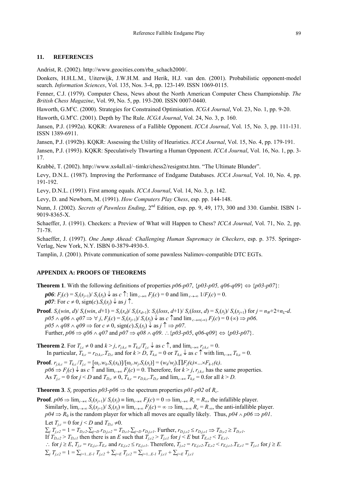## **11. REFERENCES**

Andrist, R. (2002). http://www.geocities.com/rba\_schach2000/.

Donkers, H.H.L.M., Uiterwijk, J.W.H.M. and Herik, H.J. van den. (2001). Probabilistic opponent-model search. *Information Sciences*, Vol. 135, Nos. 3-4, pp. 123-149. ISSN 1069-0115.

Fenner, C.J. (1979). Computer Chess, News about the North American Computer Chess Championship. *The British Chess Magazine*, Vol. 99, No. 5, pp. 193-200. ISSN 0007-0440.

Haworth, G.M<sup>c</sup>C. (2000). Strategies for Constrained Optimisation. *ICGA Journal*, Vol. 23, No. 1, pp. 9-20.

Haworth, G.M<sup>c</sup>C. (2001). Depth by The Rule. *ICGA Journal*, Vol. 24, No. 3, p. 160.

Jansen, P.J. (1992a). KQKR: Awareness of a Fallible Opponent. *ICCA Journal*, Vol. 15, No. 3, pp. 111-131. ISSN 1389-6911.

Jansen, P.J. (1992b). KQKR: Assessing the Utility of Heuristics. *ICCA Journal*, Vol. 15, No. 4, pp. 179-191.

Jansen, P.J. (1993). KQKR: Speculatively Thwarting a Human Opponent. *ICCA Journal*, Vol. 16, No. 1, pp. 3- 17.

Krabbé, T. (2002). http://www.xs4all.nl/~timkr/chess2/resigntxt.htm. "The Ultimate Blunder".

Levy, D.N.L. (1987). Improving the Performance of Endgame Databases. *ICCA Journal*, Vol. 10, No. 4, pp. 191-192.

Levy, D.N.L. (1991). First among equals. *ICCA Journal*, Vol. 14, No. 3, p. 142.

Levy, D. and Newborn, M. (1991). *How Computers Play Chess*, esp. pp. 144-148.

Nunn, J. (2002). *Secrets of Pawnless Ending*, 2nd Edition, esp. pp. 9, 49, 173, 300 and 330. Gambit. ISBN 1- 9019-8365-X.

Schaeffer, J. (1991). Checkers: a Preview of What will Happen to Chess? *ICCA Journal*, Vol. 71, No. 2, pp. 71-78.

Schaeffer, J. (1997). *One Jump Ahead: Challenging Human Supremacy in Checkers*, esp. p. 375. Springer-Verlag, New York, N.Y. ISBN 0-3879-4930-5.

Tamplin, J. (2001). Private communication of some pawnless Nalimov-compatible DTC EGTs.

#### **APPENDIX A: PROOFS OF THEOREMS**

**Theorem 1**. With the following definitions of properties  $p06-p07$ ,  $\{p03-p05, q06-q09\} \Leftrightarrow \{p03-p07\}$ :

 $p06$ :  $F_i(c) = S_c(s_{i+1})/S_c(s_i)$   $\downarrow$  as  $c \uparrow$ : lim<sub>c→∞</sub>  $F_i(c) = 0$  and lim<sub>c→∞</sub>  $1/F_i(c) = 0$ .  $p07$ : For  $c \neq 0$ , sign(*c*). $S_c(s_i) \downarrow$  as  $j \uparrow$ .

**Proof.**  $S_c(win, d)/S_c(win, d+1) = S_c(s_d)/S_c(s_{d+1})$ :  $S_c(logs, d+1)/S_c(logs, d) = S_c(s_i)/S_c(s_{i+1})$  for  $j = n_w+2+n_L-d$ .  $p05 \wedge q06 \wedge q07 \Rightarrow \forall j, F_j(c) = S_c(s_{j+1})/S_c(s_j) \downarrow$  as  $c \uparrow$  and  $\lim_{c \to \infty} F_j(c) = 0 \quad (\infty) \Rightarrow p06$ .  $p05 \wedge q08 \wedge q09 \Rightarrow$  for  $c \neq 0$ , sign(*c*).  $S_c(s_i) \downarrow$  as  $j \uparrow \Rightarrow p07$ . Further,  $p06 \Rightarrow q06 \land q07$  and  $p07 \Rightarrow q08 \land q09$ . ∴{ $p03-p05$ ,  $q06-q09$ }  $\Leftrightarrow$  { $p03-p07$ }.

**Theorem 2**. For  $T_{i,c} \neq 0$  and  $k > j$ ,  $r_{i,k,c} \equiv T_{k,c}/T_{i,c} \downarrow$  as  $c \uparrow$ , and  $\lim_{c \to \infty} r_{i,k,c} = 0$ . In particular,  $T_{kc} = r_{D,k,c}T_{D,c}$  and for  $k > D$ ,  $T_{kc} = 0$  or  $T_{kc} \downarrow$  as  $c \uparrow$  with  $\lim_{c \to \infty} T_{kc} = 0$ .

**Proof**.  $r_{j,k,c} = T_{k,c}/T_{j,c} = [\omega_c w_k.S_c(s_k)]/[\omega_c w_j.S_c(s_j)] = (w_k/w_j) \cdot \prod F_j(c) \times ... \times F_{k-1}(c)$ .  $p06 \Rightarrow F_j(c) \downarrow$  as  $c \uparrow$  and  $\lim_{c \to \infty} F_j(c) = 0$ . Therefore, for  $k > j$ ,  $r_{j,k,c}$  has the same properties. As  $T_{j,c} = 0$  for  $j < D$  and  $T_{D,c} \neq 0$ ,  $T_{k,c} = r_{D,k,c}$ ,  $T_{D,c}$  and  $\lim_{c \to \infty} T_{k,c} = 0$ , for all  $k > D$ .

**Theorem 3**. *S<sub>c</sub>* properties  $p03-p06 \Rightarrow$  the spectrum properties  $p01-p02$  of  $R_c$ .

**Proof**.  $p06 \Rightarrow \lim_{c \to \infty} S_c(s_{i+1})/S_c(s_i) \equiv \lim_{c \to \infty} F_j(c) = 0 \Rightarrow \lim_{c \to \infty} R_c = R_{\infty}$ , the infallible player. Similarly,  $\lim_{c\to\infty} S_c(s_{i+1})/S_c(s_i) = \lim_{c\to\infty} F_i(c) = \infty \Rightarrow \lim_{c\to\infty} R_c = R_{\infty}$ , the anti-infallible player.  $p04 \Rightarrow R_0$  is the random player for which all moves are equally likely. Thus,  $p04 \land p06 \Rightarrow p01$ . Let  $T_{i,c} = 0$  for  $j < D$  and  $T_{D,c} \neq 0$ .  $\sum_{j} T_{j,c2} = 1 = T_{D,c2} \cdot \sum_{j=D} r_{D,j,c2} = T_{D,c1} \cdot \sum_{j=D} r_{D,j,c1}$ . Further,  $r_{D,j,c2} \le r_{D,j,c1} \Rightarrow T_{D,c2} \ge T_{D,c1}$ . If  $T_{D,c2} > T_{D,cl}$  then there is an *E* such that  $T_{j,c2} > T_{j,cl}$  for  $j \le E$  but  $T_{E,c2} < T_{E,cl}$ .  $\therefore$  for  $j \ge E$ ,  $T_{j,c} = r_{E,j,c}$ ,  $T_{E,c}$  and  $r_{E,j,c2} \le r_{E,j,c1}$ . Therefore,  $T_{j,c2} = r_{E,j,c2}$ ,  $T_{E,c2} < r_{E,j,c1}$ ,  $T_{E,c1} = T_{j,c1}$  for  $j \ge E$ . ∑*<sup>j</sup> Tj,c2* = 1 = ∑*j=*1...*E-1 Tj,c2* + ∑*j=E Tj,c2* = ∑*j=*1...*E-1 Tj,c1* + ∑*j=E Tj,c1*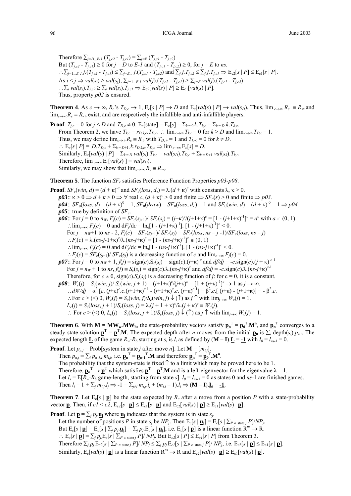Therefore  $\sum_{i=D...E-1} (T_{i,c2} - T_{i,cl}) = \sum_{i=E} (T_{i,cl} - T_{i,c2})$ But  $(T_{i,c2} - T_{i,cl}) \ge 0$  for  $j = D$  to  $E$ -1 and  $(T_{i,cl} - T_{i,c2}) \ge 0$ , for  $j = E$  to *ns*. :.  $\sum_{j=1...E-1}$   $j.(T_{j,c2} - T_{j,cl}) \leq \sum_{j=E...} j.(T_{j,cl} - T_{j,c2})$  and  $\sum_{j} j.T_{j,c2} \leq \sum_{j} j.T_{j,cl} \Rightarrow E_{c2}[s | P] \leq E_{c1}[s | P]$ . As *i* < *j* ⇒ *val*(*si*) ≥ *val*(*sj*), ∑*j=*1...*E-1 val*(*j*).(*Tj,c2* - *Tj,c1*) ≥ ∑*j=E val*(*j*).(*Tj,c1* - *Tj,c2*) ∴ $\sum_i$   $val(s_i)$ ,  $T_{i,c2} \geq \sum_i$   $val(s_i)$ ,  $T_{i,cl} \Rightarrow E_{c2}[val(s) | P] \geq E_{c1}[val(s) | P]$ . Thus, property *p02* is ensured.

**Theorem 4**. As  $c \to \infty$ ,  $R_c$ 's  $T_{D,c} \to 1$ ,  $E_c[s \mid P] \to D$  and  $E_c[val(s) \mid P] \to val(s_D)$ . Thus,  $\lim_{c \to \infty} R_c \equiv R_{\infty}$  and lim<sub>*c*→∞</sub> $R_c$  ≡  $R_\infty$  exist, and are respectively the infallible and anti-infallible players.

**Proof**.  $T_{j,c} = 0$  for  $j \le D$  and  $T_{D,c} \ne 0$ .  $E_c[\text{state}] = E_c[s] = \sum_{k=0} k T_{k,c} = \sum_{k=0} k T_{k,c}$ . From Theorem 2, we have  $T_{kc} = r_{D,k,c}$ .  $T_{D,c}$ . ∴  $\lim_{c \to \infty} T_{kc} = 0$  for  $k > D$  and  $\lim_{c \to \infty} T_{D,c} = 1$ . Thus, we may define  $\lim_{c \to \infty} R_c = R_\infty$  with  $T_{D,\infty} = 1$  and  $T_{k,\infty} = 0$  for  $k \neq D$ . ∴  $E_c[s | P] = D.T_{D,c} + \sum_{k=D+1} k.r_{D,k,c}.T_{D,c}$  ⇒  $\lim_{c \to \infty} E_c[s] = D$ .  $\text{Similarly, } E_c[val(s) | P] = \sum_{k=p} val(s_i) \cdot T_{kc} = val(s_D) \cdot T_{D,c} + \sum_{k=p+1} val(s_k) \cdot T_{kc}.$ Therefore,  $\lim_{c \to \infty} E_c[val(s)] = val(s_D)$ . Similarly, we may show that  $\lim_{c\to\infty} R_c = R_{-\infty}$ .

**Theorem 5**. The function  $SF_c$  satisfies Preference Function Properties  $p03-p08$ .

**Proof**. *SF<sub>c</sub>*(*win*, *d*) =  $(d + \kappa)^c$  and *SF<sub>c</sub>*(*loss*, *d*,) =  $\lambda$ .( $d + \kappa$ )<sup>*c*</sup> with constants  $\lambda$ ,  $\kappa > 0$ .  $p03$ ::  $\kappa > 0 \Rightarrow d + \kappa > 0 \Rightarrow \forall$  real *c*,  $(d + \kappa)^c > 0$  and finite  $\Rightarrow SF_c(s) > 0$  and finite  $\Rightarrow p03$ .  $p04$ ::  $SF_0(\text{loss}, d) = (d + \kappa)^0 = 1$ ,  $SF_0(\text{draw}) = SF_0(\text{loss}, d_L) = 1$  and  $SF_0(\text{win}, d) = (d + \kappa)^{-0} = 1 \Rightarrow p04$ .  $p05$ :: true by definition of *SF<sub>c</sub>*. *p06*:: For  $j = 0$  to  $n_W$ ,  $F_j(c) = SF_c(s_{j+1})/SF_c(s_j) = (j+\kappa)^c/(j+1+\kappa)^c = [1 - (j+1+\kappa)^{-1}]^c = a^c$  with  $a \in (0, 1)$ . ∴lim<sub>*c→∞</sub> F<sub>j</sub>(<i>c*) = 0 and d*F<sub>j</sub>*/d*c* = ln<sub>e</sub>[1 - (*j*+1+κ)<sup>-1</sup>]. [1 - (*j*+1+κ)<sup>-1</sup>]<sup>*c*</sup> < 0.</sub> For  $j = n_w+1$  to  $ns - 2$ ,  $F_j(c) = SF_c(s_{j+1})/SF_c(s_j) = SF_c(logs, ns - j -1)/SF_c(logs, ns - j)$  $\therefore$  *F<sub>j</sub>*(*c*) = λ.(*ns*-*j*-1+κ)<sup>*c*</sup>/λ.(*ns*-*j*+κ)<sup>*c*</sup> = [1 - (*ns*-*j*+κ)<sup>-1</sup>]<sup>*c*</sup> ∈ (0, 1) ∴  $\lim_{c \to \infty} F_j(c) = 0$  and  $dF_j/dc = \ln_e[1 - (ns - j + \kappa)^{-1}]$ . [1 -  $(ns - j + \kappa)^{-1}]^c < 0$ . ∴*F<sub>j</sub>*(*c*) = *SF<sub>c</sub>*(*s<sub>i+1</sub>*)/ *SF<sub>c</sub>*(*s<sub>i</sub>*) is a decreasing function of *c* and lim<sub>*c*→∞</sub> *F<sub>j</sub>*(*c*) = 0.  $p\theta$ 7:: For *j* = 0 to  $n_W + 1$ ,  $f(j) \equiv sign(c)$ .  $S_c(s_j) = sign(c)$ .  $(j+\kappa)^{-c}$  and  $df/dj = -c$ .  $sign(c)$ .  $(j+\kappa)^{-c-1}$  $\text{For } j = n_W + 1 \text{ to } ns$ ,  $f(j) = S_c(s_j) = \text{sign}(c) \cdot \lambda$ .  $(ns-j+\kappa)^c$  and  $df/dj = -c \cdot \text{sign}(c) \cdot \lambda$ .  $(ns-j+\kappa)^{c-1}$ Therefore, for  $c \neq 0$ , sign(*c*).  $S_c(s_i)$  is a decreasing function of *j*: for  $c = 0$ , it is a constant.  $p08$ ::  $W_c(j) = S_c(win, j) / S_c(win, j + 1) = (j+1+\kappa)^c / (j+\kappa)^c = [1 + (j+\kappa)^{-1}]^c \rightarrow 1 \text{ as } j \rightarrow \infty.$  $\therefore$ *dW*/*dj* = α<sup>2</sup> [*c*. (*j*+κ)<sup>*c*</sup>.*c*.(*j*+1+κ)<sup>*c*-1</sup> - (*j*+1+κ)<sup>*c*</sup>.*c*. (*j*+κ)<sup>*c*-1</sup>] = β<sup>2</sup>.*c*.[(*j*+κ) - (*j*+1+κ)] = - β<sup>2</sup>.*c*. ∴For  $c$  > (<) 0,  $W_c(j) = S_c(win, j)/S_c(win, j)$  ↓ (↑) as  $j$  ↑ with  $\lim_{i\to\infty} W_c(j) = 1$ .  $L_c(j) = S_c(\text{loss}, j + 1)/S_c(\text{loss}, j) = \lambda (j + 1 + \kappa)^c/\lambda (j + \kappa)^c \equiv W_c(j).$ ∴ For  $c$  > (<) 0,  $L_c(i) = S_c(\text{loss}, i + 1)/S_c(\text{loss}, i)$  ↓ (↑) as  $i \uparrow$  with  $\lim_{i \to \infty} W_c(i) = 1$ .

**Theorem 6**. With  $M = MW_w.MW_b$ , the state-probability vectors satisfy  $p_n^T = p_0^T.M^n$ , and  $p_n^T$  converges to a steady state solution  $\mathbf{p}^T = \mathbf{p}^T \mathbf{M}$ . The expected depth after *n* moves from the initial  $\mathbf{p}_0$  is  $\sum_i$  depth $(s_i)$ ,  $p_{n,i}$ . The expected length **L** of the game  $R_w - R_b$  starting at  $s_i$  is  $l_i$  as defined by  $(M - I)L = -1$  with  $l_0 = l_{ns-1} = 0$ .

**Proof**. Let  $p_{n,j}$  = Prob[system in state *j* after move *n*]. Let **M** = [ $m_{i,j}$ ]. Then  $p_{n,j} = \sum_i p_{n-1,i} m_{i,j}$ , i.e.  $\mathbf{p_n}^{\mathrm{T}} = \mathbf{p_{n-1}}^{\mathrm{T}}$ . **M** and therefore  $\mathbf{p_n}^{\mathrm{T}} = \mathbf{p_0}^{\mathrm{T}}$ . **M**<sup>n</sup>. The probability that the system-state is fixed  $\uparrow$  to a limit which may be proved here to be 1. Therefore,  $\mathbf{p}_n^T \to \mathbf{p}^T$  which satisfies  $\mathbf{p}^T = \mathbf{p}^T \cdot \mathbf{M}$  and is a left-eigenvector for the eigenvalue  $\lambda = 1$ . Let  $l_s = E[R_w - R_b]$  game-length, starting from state *s*].  $l_0 = l_{ns-1} = 0$  as states 0 and *ns*-1 are finished games. Then  $l_i = 1 + \sum_j m_{i,j}$ . $l_j \implies -1 = \sum_{i \neq j} m_{i,j}$ . $l_j + (m_{i,j} - 1)$ . $l_i \implies (M - I)$ . $\underline{L} = -1$ .

**Theorem 7.** Let  $E_c[s | p]$  be the state expected by  $R_c$  after a move from a position *P* with a state-probability vector **p**. Then, if  $cI < c2$ ,  $E_{c2}[s | \mathbf{p}] \leq E_{c1}[s | \mathbf{p}]$  and  $E_{c2}[val(s) | \mathbf{p}] \geq E_{c1}[val(s) | \mathbf{p}]$ .

**Proof**. Let  $\mathbf{p} = \sum_j p_j \mathbf{u}_j$  where  $\mathbf{u}_j$  indicates that the system is in state  $s_j$ . Let the number of positions *P* in state  $s_j$  be  $NP_j$ . Then  $E_c[s | \mathbf{u}_i] = E_c[s | \sum_{P \in \text{state } j} P]/NP_j$ . But  $E_c[s | p] = E_c[s | \sum_i p_i \underline{\mathbf{u}}_i] = \sum_i p_i E_c[s | \underline{\mathbf{u}}_i]$ , i.e.  $E_c[s | p]$  is a linear function  $R^{ns} \to R$ . ∴  $E_c[s | p] = \sum_j p_j E_c[s | \sum_{P \in \text{state}_j} P]/NP_j$ . But  $E_{c2}[s | P] \leq E_{c1}[s | P]$  from Theorem 3. Therefore  $\sum_{i} p_i E_{c2}[s \mid \sum_{P \in \text{state}} P]/NP_i \leq \sum_{i} p_i E_{c1}[s \mid \sum_{P \in \text{state}} P]/NP_i$ , i.e.  $E_{c2}[s \mid \mathbf{p}] \leq E_{c1}[s \mid \mathbf{p}]$ . Similarly,  $E_c[val(s) | \mathbf{p}]$  is a linear function  $\mathbb{R}^{ns} \to \mathbb{R}$  and  $E_{c2}[val(s) | \mathbf{p}] \ge E_{c1}[val(s) | \mathbf{p}]$ .